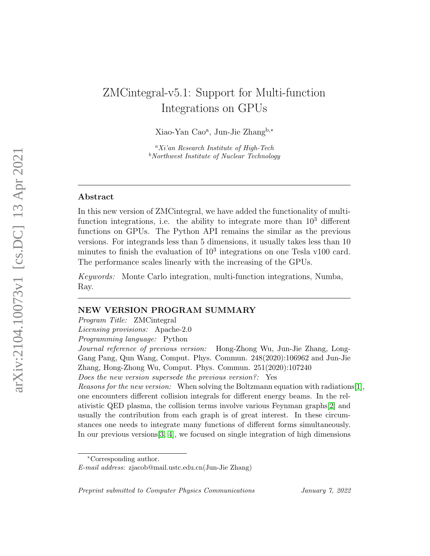# ZMCintegral-v5.1: Support for Multi-function Integrations on GPUs

Xiao-Yan Cao<sup>a</sup>, Jun-Jie Zhang<sup>b,\*</sup>

 ${}^aXi'$ an Research Institute of High-Tech  $b$ Northwest Institute of Nuclear Technology

## Abstract

In this new version of ZMCintegral, we have added the functionality of multifunction integrations, i.e. the ability to integrate more than  $10<sup>3</sup>$  different functions on GPUs. The Python API remains the similar as the previous versions. For integrands less than 5 dimensions, it usually takes less than 10 minutes to finish the evaluation of  $10<sup>3</sup>$  integrations on one Tesla v100 card. The performance scales linearly with the increasing of the GPUs.

Keywords: Monte Carlo integration, multi-function integrations, Numba, Ray.

## NEW VERSION PROGRAM SUMMARY

Program Title: ZMCintegral Licensing provisions: Apache-2.0 Programming language: Python Journal reference of previous version: Hong-Zhong Wu, Jun-Jie Zhang, Long-Gang Pang, Qun Wang, Comput. Phys. Commun. 248(2020):106962 and Jun-Jie Zhang, Hong-Zhong Wu, Comput. Phys. Commun. 251(2020):107240 Does the new version supersede the previous version?: Yes Reasons for the new version: When solving the Boltzmann equation with radiations[\[1\]](#page-3-0), one encounters different collision integrals for different energy beams. In the relativistic QED plasma, the collision terms involve various Feynman graphs[\[2\]](#page-3-1) and usually the contribution from each graph is of great interest. In these circumstances one needs to integrate many functions of different forms simultaneously. In our previous versions  $[3, 4]$  $[3, 4]$ , we focused on single integration of high dimensions

Preprint submitted to Computer Physics Communications January 7, 2022

<sup>∗</sup>Corresponding author.

E-mail address: zjacob@mail.ustc.edu.cn(Jun-Jie Zhang)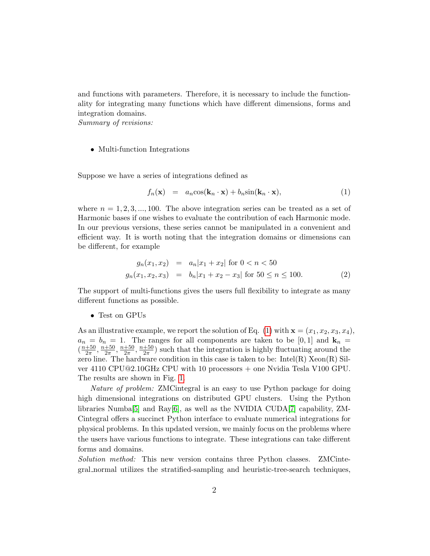and functions with parameters. Therefore, it is necessary to include the functionality for integrating many functions which have different dimensions, forms and integration domains.

Summary of revisions:

• Multi-function Integrations

Suppose we have a series of integrations defined as

<span id="page-1-0"></span>
$$
f_n(\mathbf{x}) = a_n \cos(\mathbf{k}_n \cdot \mathbf{x}) + b_n \sin(\mathbf{k}_n \cdot \mathbf{x}), \qquad (1)
$$

where  $n = 1, 2, 3, \dots, 100$ . The above integration series can be treated as a set of Harmonic bases if one wishes to evaluate the contribution of each Harmonic mode. In our previous versions, these series cannot be manipulated in a convenient and efficient way. It is worth noting that the integration domains or dimensions can be different, for example

$$
g_n(x_1, x_2) = a_n|x_1 + x_2| \text{ for } 0 < n < 50
$$
  

$$
g_n(x_1, x_2, x_3) = b_n|x_1 + x_2 - x_3| \text{ for } 50 \le n \le 100.
$$
 (2)

The support of multi-functions gives the users full flexibility to integrate as many different functions as possible.

• Test on GPUs

As an illustrative example, we report the solution of Eq. [\(1\)](#page-1-0) with  $\mathbf{x} = (x_1, x_2, x_3, x_4)$ ,  $a_n = b_n = 1$ . The ranges for all components are taken to be [0, 1] and  $\mathbf{k}_n =$  $\left(\frac{n+50}{2\pi}\right)$  $\frac{+50}{2\pi}, \frac{n+50}{2\pi}$  $\frac{+50}{2\pi}, \frac{n+50}{2\pi}$  $\frac{+50}{2\pi}, \frac{n+50}{2\pi}$  $\frac{+50}{2\pi}$ ) such that the integration is highly fluctuating around the zero line. The hardware condition in this case is taken to be:  $Intel(R)$  Xeon $(R)$  Silver 4110 CPU@2.10GHz CPU with 10 processors + one Nvidia Tesla V100 GPU. The results are shown in Fig. [1.](#page-2-0)

Nature of problem: ZMCintegral is an easy to use Python package for doing high dimensional integrations on distributed GPU clusters. Using the Python libraries Numba[\[5\]](#page-3-4) and Ray[\[6\]](#page-4-0), as well as the NVIDIA CUDA[\[7\]](#page-4-1) capability, ZM-Cintegral offers a succinct Python interface to evaluate numerical integrations for physical problems. In this updated version, we mainly focus on the problems where the users have various functions to integrate. These integrations can take different forms and domains.

Solution method: This new version contains three Python classes. ZMCintegral normal utilizes the stratified-sampling and heuristic-tree-search techniques,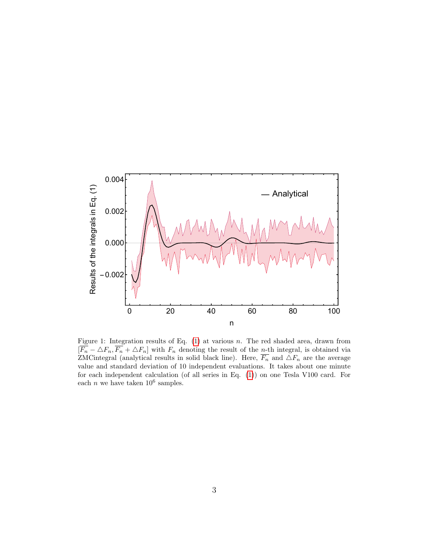

<span id="page-2-0"></span>Figure 1: Integration results of Eq.  $(1)$  at various n. The red shaded area, drawn from  $[F_n - \Delta F_n, F_n + \Delta F_n]$  with  $F_n$  denoting the result of the *n*-th integral, is obtained via ZMCintegral (analytical results in solid black line). Here,  $F_n$  and  $\Delta F_n$  are the average value and standard deviation of 10 independent evaluations. It takes about one minute for each independent calculation (of all series in Eq. [\(1\)](#page-1-0)) on one Tesla V100 card. For each *n* we have taken  $10^6$  samples.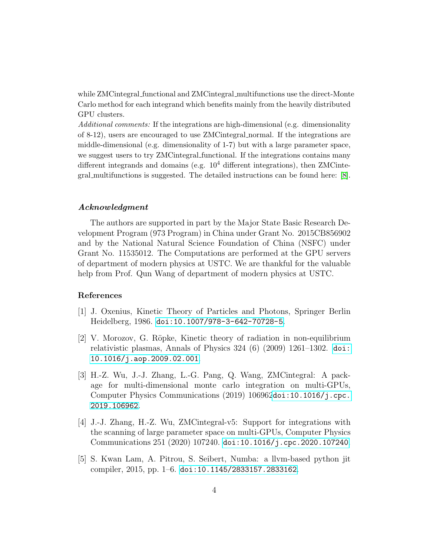while ZMCintegral functional and ZMCintegral multifunctions use the direct-Monte Carlo method for each integrand which benefits mainly from the heavily distributed GPU clusters.

Additional comments: If the integrations are high-dimensional (e.g. dimensionality of 8-12), users are encouraged to use ZMCintegral normal. If the integrations are middle-dimensional (e.g. dimensionality of 1-7) but with a large parameter space, we suggest users to try ZMCintegral functional. If the integrations contains many different integrands and domains (e.g.  $10<sup>4</sup>$  different integrations), then ZMCintegral multifunctions is suggested. The detailed instructions can be found here: [\[8\]](#page-4-2).

#### Acknowledgment

The authors are supported in part by the Major State Basic Research Development Program (973 Program) in China under Grant No. 2015CB856902 and by the National Natural Science Foundation of China (NSFC) under Grant No. 11535012. The Computations are performed at the GPU servers of department of modern physics at USTC. We are thankful for the valuable help from Prof. Qun Wang of department of modern physics at USTC.

#### References

- <span id="page-3-0"></span>[1] J. Oxenius, Kinetic Theory of Particles and Photons, Springer Berlin Heidelberg, 1986. [doi:10.1007/978-3-642-70728-5](https://doi.org/10.1007/978-3-642-70728-5).
- <span id="page-3-1"></span>[2] V. Morozov, G. Röpke, Kinetic theory of radiation in non-equilibrium relativistic plasmas, Annals of Physics  $324(6)(2009)$  1261–1302. [doi:](https://doi.org/10.1016/j.aop.2009.02.001) [10.1016/j.aop.2009.02.001](https://doi.org/10.1016/j.aop.2009.02.001).
- <span id="page-3-2"></span>[3] H.-Z. Wu, J.-J. Zhang, L.-G. Pang, Q. Wang, ZMCintegral: A package for multi-dimensional monte carlo integration on multi-GPUs, Computer Physics Communications (2019) 106962[doi:10.1016/j.cpc.](https://doi.org/10.1016/j.cpc.2019.106962) [2019.106962](https://doi.org/10.1016/j.cpc.2019.106962).
- <span id="page-3-3"></span>[4] J.-J. Zhang, H.-Z. Wu, ZMCintegral-v5: Support for integrations with the scanning of large parameter space on multi-GPUs, Computer Physics Communications 251 (2020) 107240. [doi:10.1016/j.cpc.2020.107240](https://doi.org/10.1016/j.cpc.2020.107240).
- <span id="page-3-4"></span>[5] S. Kwan Lam, A. Pitrou, S. Seibert, Numba: a llvm-based python jit compiler, 2015, pp. 1–6. [doi:10.1145/2833157.2833162](https://doi.org/10.1145/2833157.2833162).